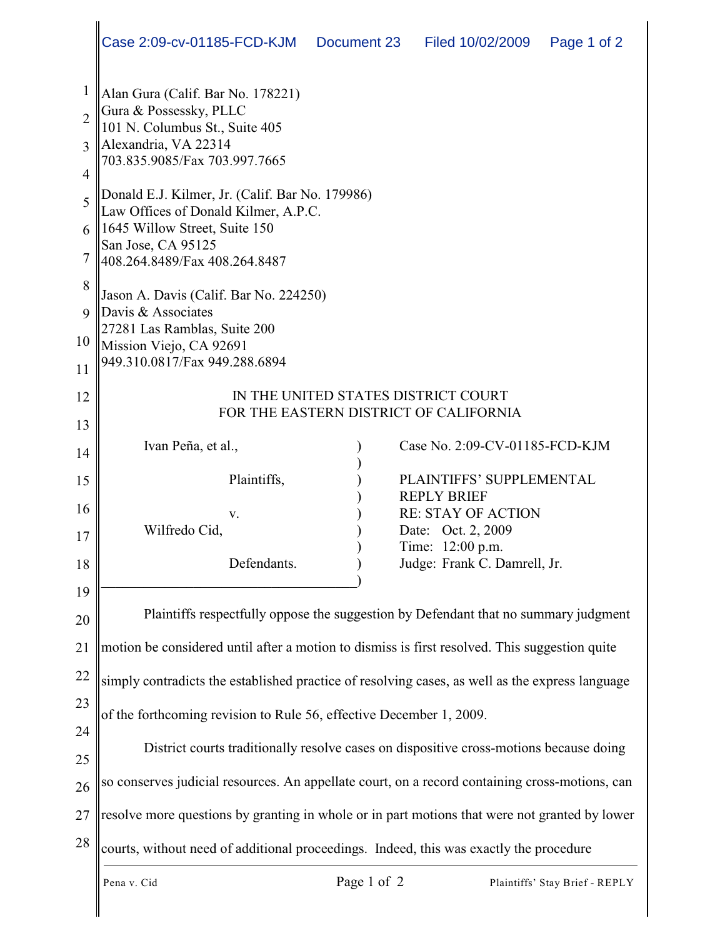|                | Case 2:09-cv-01185-FCD-KJM<br>Document 23<br>Filed 10/02/2009<br>Page 1 of 2                    |  |  |
|----------------|-------------------------------------------------------------------------------------------------|--|--|
| 1              | Alan Gura (Calif. Bar No. 178221)                                                               |  |  |
| $\overline{2}$ | Gura & Possessky, PLLC<br>101 N. Columbus St., Suite 405                                        |  |  |
| 3              | Alexandria, VA 22314<br>703.835.9085/Fax 703.997.7665                                           |  |  |
| $\overline{4}$ |                                                                                                 |  |  |
| 5              | Donald E.J. Kilmer, Jr. (Calif. Bar No. 179986)<br>Law Offices of Donald Kilmer, A.P.C.         |  |  |
| 6              | 1645 Willow Street, Suite 150<br>San Jose, CA 95125                                             |  |  |
| 7              | 408.264.8489/Fax 408.264.8487                                                                   |  |  |
| 8              | Jason A. Davis (Calif. Bar No. 224250)                                                          |  |  |
| $\mathbf Q$    | Davis & Associates<br>27281 Las Ramblas, Suite 200                                              |  |  |
| 10             | Mission Viejo, CA 92691<br>949.310.0817/Fax 949.288.6894                                        |  |  |
| 11             |                                                                                                 |  |  |
| 12             | IN THE UNITED STATES DISTRICT COURT<br>FOR THE EASTERN DISTRICT OF CALIFORNIA                   |  |  |
| 13             |                                                                                                 |  |  |
| 14             | Ivan Peña, et al.,<br>Case No. 2:09-CV-01185-FCD-KJM                                            |  |  |
| 15             | Plaintiffs,<br>PLAINTIFFS' SUPPLEMENTAL<br><b>REPLY BRIEF</b>                                   |  |  |
| 16             | <b>RE: STAY OF ACTION</b><br>V.                                                                 |  |  |
| 17             | Wilfredo Cid,<br>Date: Oct. 2, 2009<br>Time: 12:00 p.m.                                         |  |  |
| 18             | Judge: Frank C. Damrell, Jr.<br>Defendants.                                                     |  |  |
| 19             |                                                                                                 |  |  |
| 20             | Plaintiffs respectfully oppose the suggestion by Defendant that no summary judgment             |  |  |
| 21             | motion be considered until after a motion to dismiss is first resolved. This suggestion quite   |  |  |
| 22             | simply contradicts the established practice of resolving cases, as well as the express language |  |  |
| 23             | of the forthcoming revision to Rule 56, effective December 1, 2009.                             |  |  |
| 24             |                                                                                                 |  |  |
| 25             | District courts traditionally resolve cases on dispositive cross-motions because doing          |  |  |
| 26             | so conserves judicial resources. An appellate court, on a record containing cross-motions, can  |  |  |
| 27             | resolve more questions by granting in whole or in part motions that were not granted by lower   |  |  |
| 28             | courts, without need of additional proceedings. Indeed, this was exactly the procedure          |  |  |
|                | Page 1 of 2<br>Pena v. Cid<br>Plaintiffs' Stay Brief - REPLY                                    |  |  |